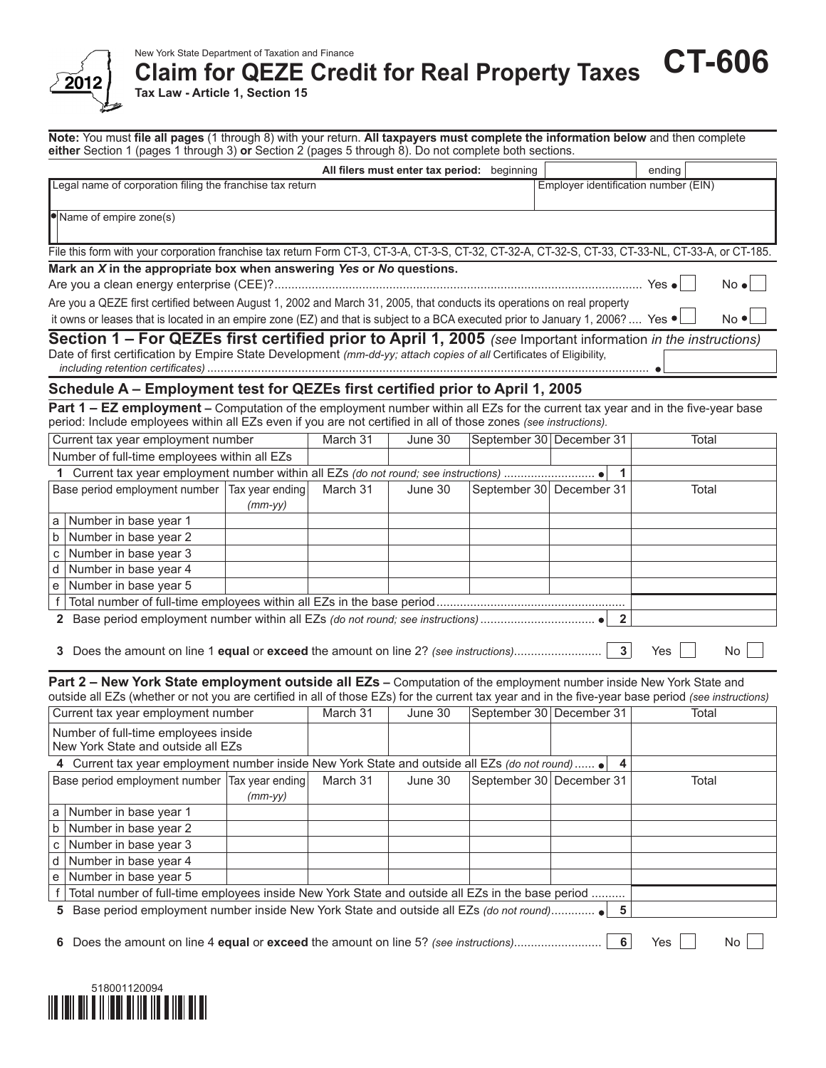

#### New York State Department of Taxation and Finance

**Claim for QEZE Credit for Real Property Taxes CT-606**

**Tax Law - Article 1, Section 15**

**Note:** You must **file all pages** (1 through 8) with your return. **All taxpayers must complete the information below** and then complete **either** Section 1 (pages 1 through 3) **or** Section 2 (pages 5 through 8). Do not complete both sections.

|                                                                                                                                                                                                                                                     |           |          | All filers must enter tax period: beginning |                                      | ending       |
|-----------------------------------------------------------------------------------------------------------------------------------------------------------------------------------------------------------------------------------------------------|-----------|----------|---------------------------------------------|--------------------------------------|--------------|
| Legal name of corporation filing the franchise tax return                                                                                                                                                                                           |           |          |                                             | Employer identification number (EIN) |              |
| Name of empire zone(s)                                                                                                                                                                                                                              |           |          |                                             |                                      |              |
| File this form with your corporation franchise tax return Form CT-3, CT-3-A, CT-3-S, CT-32, CT-32-A, CT-32-S, CT-33, CT-33-NL, CT-33-A, or CT-185.                                                                                                  |           |          |                                             |                                      |              |
| Mark an X in the appropriate box when answering Yes or No questions.                                                                                                                                                                                |           |          |                                             |                                      |              |
|                                                                                                                                                                                                                                                     |           |          |                                             |                                      | $No \bullet$ |
| Are you a QEZE first certified between August 1, 2002 and March 31, 2005, that conducts its operations on real property                                                                                                                             |           |          |                                             |                                      |              |
| it owns or leases that is located in an empire zone (EZ) and that is subject to a BCA executed prior to January 1, 2006?  Yes $\bullet$                                                                                                             |           |          |                                             |                                      | $No \cdot l$ |
| Section 1 – For QEZEs first certified prior to April 1, 2005 (see Important information in the instructions)<br>Date of first certification by Empire State Development (mm-dd-yy; attach copies of all Certificates of Eligibility,                |           |          |                                             |                                      |              |
| Schedule A - Employment test for QEZEs first certified prior to April 1, 2005                                                                                                                                                                       |           |          |                                             |                                      |              |
| Part 1 - EZ employment - Computation of the employment number within all EZs for the current tax year and in the five-year base<br>period: Include employees within all EZs even if you are not certified in all of those zones (see instructions). |           |          |                                             |                                      |              |
| Current tax year employment number                                                                                                                                                                                                                  |           | March 31 | June 30                                     | September 30 December 31             | Total        |
| Number of full-time employees within all EZs                                                                                                                                                                                                        |           |          |                                             |                                      |              |
| 1                                                                                                                                                                                                                                                   |           |          |                                             | 1                                    |              |
| Base period employment number   Tax year ending                                                                                                                                                                                                     | $(mm-yy)$ | March 31 | June 30                                     | September 30 December 31             | Total        |
| a   Number in base year 1                                                                                                                                                                                                                           |           |          |                                             |                                      |              |
| Number in base year 2<br>b                                                                                                                                                                                                                          |           |          |                                             |                                      |              |
| Number in base year 3<br>C                                                                                                                                                                                                                          |           |          |                                             |                                      |              |
| Number in base year 4<br>d                                                                                                                                                                                                                          |           |          |                                             |                                      |              |
| Number in base year 5<br>е                                                                                                                                                                                                                          |           |          |                                             |                                      |              |
|                                                                                                                                                                                                                                                     |           |          |                                             |                                      |              |
| 3 Does the amount on line 1 equal or exceed the amount on line 2? (see instructions)                                                                                                                                                                |           |          |                                             | $\mathbf{2}$<br>3 <sup>1</sup>       | Yes<br>No    |
| Part 2 - New York State employment outside all EZs - Computation of the employment number inside New York State and                                                                                                                                 |           |          |                                             |                                      |              |
| outside all EZs (whether or not you are certified in all of those EZs) for the current tax year and in the five-year base period (see instructions)                                                                                                 |           |          |                                             |                                      |              |
| Current tax year employment number                                                                                                                                                                                                                  |           | March 31 | June 30                                     | September 30 December 31             | Total        |
| Number of full-time employees inside<br>New York State and outside all EZs                                                                                                                                                                          |           |          |                                             |                                      |              |
| 4 Current tax year employment number inside New York State and outside all EZs (do not round)  .                                                                                                                                                    |           |          |                                             | $\overline{\mathbf{4}}$              |              |
| Base period employment number Tax year ending                                                                                                                                                                                                       | $(mm-yy)$ | March 31 | June 30                                     | September 30 December 31             | Total        |
| a   Number in base year 1                                                                                                                                                                                                                           |           |          |                                             |                                      |              |
| Number in base year 2<br>b                                                                                                                                                                                                                          |           |          |                                             |                                      |              |
| Number in base year 3<br>C                                                                                                                                                                                                                          |           |          |                                             |                                      |              |
| Number in base year 4<br>d                                                                                                                                                                                                                          |           |          |                                             |                                      |              |
| e   Number in base year 5                                                                                                                                                                                                                           |           |          |                                             |                                      |              |
| f   Total number of full-time employees inside New York State and outside all EZs in the base period                                                                                                                                                |           |          |                                             |                                      |              |
| 5 Base period employment number inside New York State and outside all EZs (do not round)                                                                                                                                                            |           |          |                                             | $5\phantom{1}$                       |              |

**6** Does the amount on line 4 **equal** or **exceed** the amount on line 5? *(see instructions)*.......................... **6** Yes No

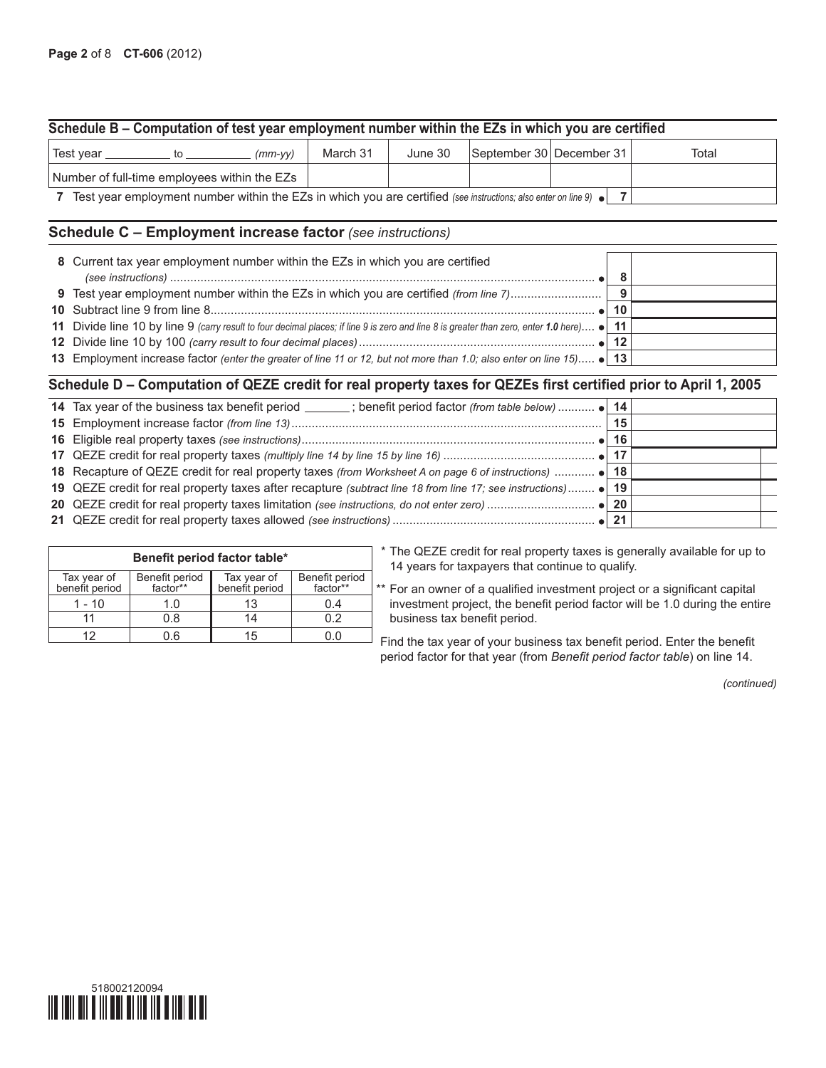## **Schedule B – Computation of test year employment number within the EZs in which you are certified**

| Fest year |                                                                                                                                    | (mm-yy) | March 31 | June 30 | September 30 December 31 |  | Total |
|-----------|------------------------------------------------------------------------------------------------------------------------------------|---------|----------|---------|--------------------------|--|-------|
|           | Number of full-time employees within the EZs                                                                                       |         |          |         |                          |  |       |
|           | $\overline{7}$ Toot year ample upont pumber within the $\overline{17}$ in which you are contified (as introduced as subset fire 0) |         |          |         |                          |  |       |

**7** Test year employment number within the EZs in which you are certified *(see instructions; also enter on line 9)* **7**

#### **Schedule C – Employment increase factor** *(see instructions)*

| 8 Current tax year employment number within the EZs in which you are certified                                                            |     |  |
|-------------------------------------------------------------------------------------------------------------------------------------------|-----|--|
|                                                                                                                                           |     |  |
|                                                                                                                                           |     |  |
|                                                                                                                                           | -10 |  |
| 11 Divide line 10 by line 9 (carry result to four decimal places; if line 9 is zero and line 8 is greater than zero, enter 1.0 here) • 11 |     |  |
|                                                                                                                                           | -12 |  |
| 13 Employment increase factor (enter the greater of line 11 or 12, but not more than 1.0; also enter on line 15) • 13                     |     |  |

### **Schedule D – Computation of QEZE credit for real property taxes for QEZEs first certified prior to April 1, 2005**

|                                                                                                               | 15 |  |
|---------------------------------------------------------------------------------------------------------------|----|--|
|                                                                                                               |    |  |
|                                                                                                               |    |  |
|                                                                                                               |    |  |
| 19 QEZE credit for real property taxes after recapture (subtract line 18 from line 17; see instructions) • 19 |    |  |
|                                                                                                               |    |  |
|                                                                                                               |    |  |

|                               | Benefit period factor table* |                               |                            |
|-------------------------------|------------------------------|-------------------------------|----------------------------|
| Tax year of<br>benefit period | Benefit period<br>factor**   | Tax year of<br>benefit period | Benefit period<br>factor** |
| $1 - 10$                      | 1.0                          | 13                            | 0.4                        |
|                               | 0.8                          | 14                            | በ 2                        |
|                               | ) 6                          | 15                            |                            |

\* The QEZE credit for real property taxes is generally available for up to 14 years for taxpayers that continue to qualify.

\*\* For an owner of a qualified investment project or a significant capital investment project, the benefit period factor will be 1.0 during the entire business tax benefit period.

Find the tax year of your business tax benefit period. Enter the benefit period factor for that year (from *Benefit period factor table*) on line 14.

*(continued)*

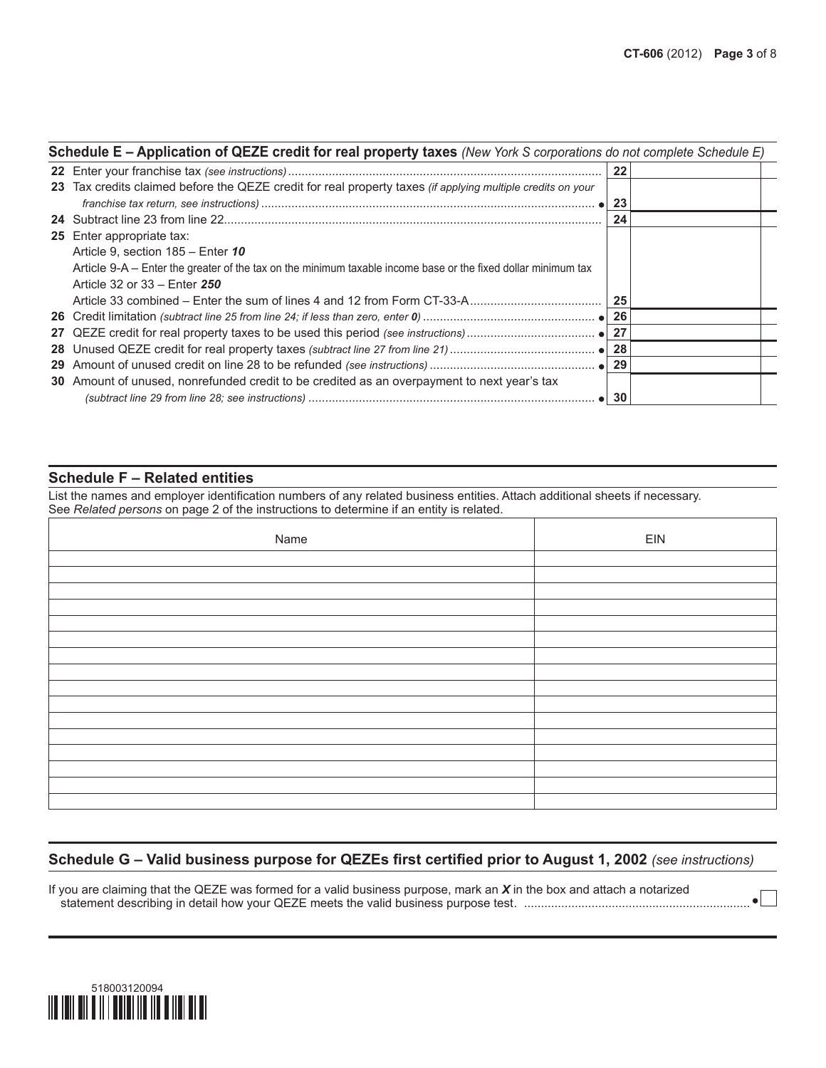| Schedule E - Application of QEZE credit for real property taxes (New York S corporations do not complete Schedule E) |    |  |
|----------------------------------------------------------------------------------------------------------------------|----|--|
|                                                                                                                      | 22 |  |
| 23 Tax credits claimed before the QEZE credit for real property taxes (if applying multiple credits on your          | 23 |  |
|                                                                                                                      | 24 |  |
| <b>25</b> Enter appropriate tax:                                                                                     |    |  |
| Article 9, section 185 - Enter 10                                                                                    |    |  |
| Article 9-A – Enter the greater of the tax on the minimum taxable income base or the fixed dollar minimum tax        |    |  |
| Article 32 or 33 – Enter 250                                                                                         |    |  |
|                                                                                                                      | 25 |  |
|                                                                                                                      | 26 |  |
|                                                                                                                      | 27 |  |
|                                                                                                                      | 28 |  |
|                                                                                                                      | 29 |  |
| 30 Amount of unused, nonrefunded credit to be credited as an overpayment to next year's tax                          |    |  |
|                                                                                                                      | 30 |  |

## **Schedule F – Related entities**

List the names and employer identification numbers of any related business entities. Attach additional sheets if necessary. See *Related persons* on page 2 of the instructions to determine if an entity is related.

| Name | EIN |
|------|-----|
|      |     |
|      |     |
|      |     |
|      |     |
|      |     |
|      |     |
|      |     |
|      |     |
|      |     |
|      |     |
|      |     |
|      |     |
|      |     |
|      |     |
|      |     |
|      |     |

## **Schedule G – Valid business purpose for QEZEs first certified prior to August 1, 2002** *(see instructions)*

If you are claiming that the QEZE was formed for a valid business purpose, mark an *X* in the box and attach a notarized statement describing in detail how your QEZE meets the valid business purpose test. ...................................................................

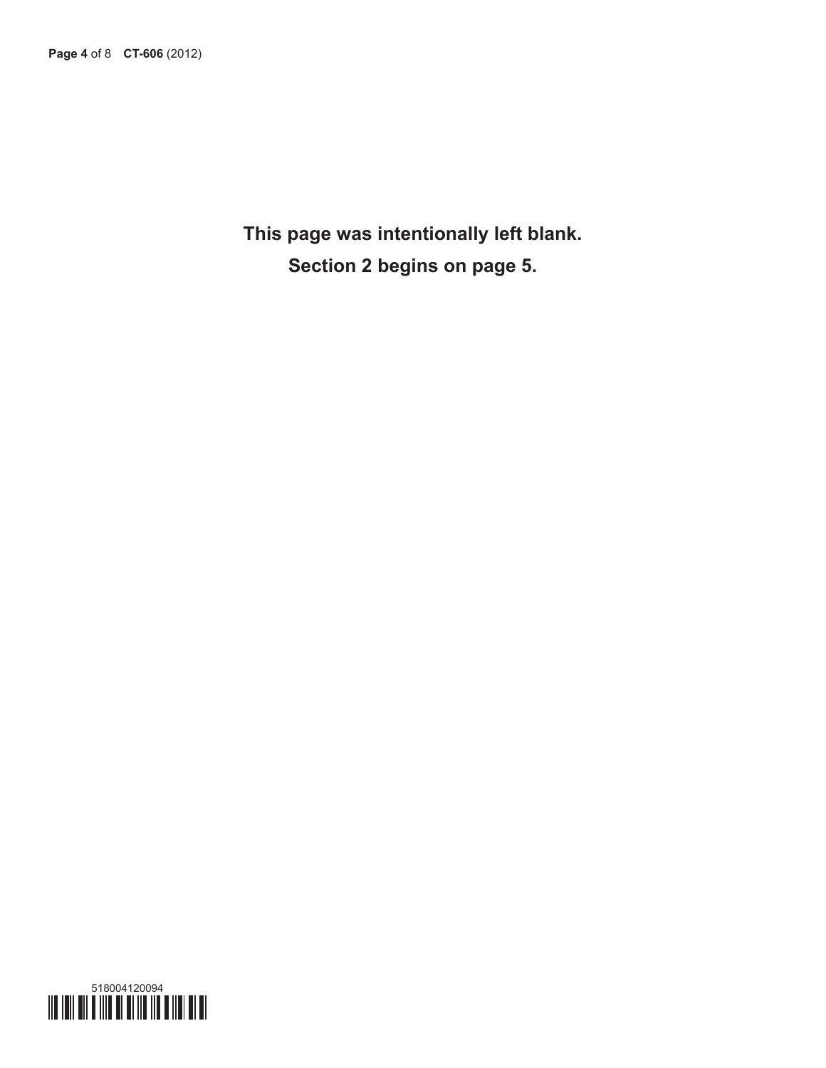**This page was intentionally left blank. Section 2 begins on page 5.**

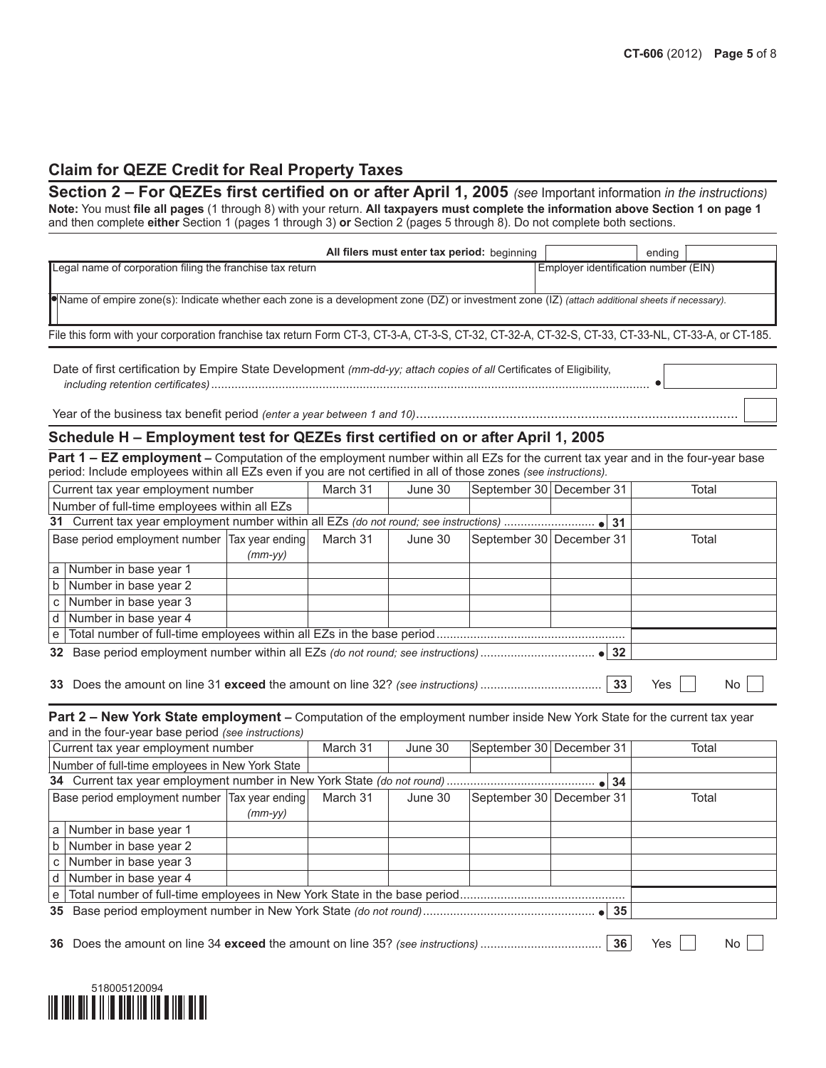# **Claim for QEZE Credit for Real Property Taxes**

**Section 2 – For QEZEs first certified on or after April 1, 2005** *(see* Important information *in the instructions)* **Note:** You must **file all pages** (1 through 8) with your return. **All taxpayers must complete the information above Section 1 on page 1** and then complete **either** Section 1 (pages 1 through 3) **or** Section 2 (pages 5 through 8). Do not complete both sections.

| All filers must enter tax period: beginning                                                                                                        |                                      | ending |
|----------------------------------------------------------------------------------------------------------------------------------------------------|--------------------------------------|--------|
| Legal name of corporation filing the franchise tax return                                                                                          | Employer identification number (EIN) |        |
| ●Name of empire zone(s): Indicate whether each zone is a development zone (DZ) or investment zone (IZ) (attach additional sheets if necessary).    |                                      |        |
| File this form with your corporation franchise tax return Form CT-3, CT-3-A, CT-3-S, CT-32, CT-32-A, CT-32-S, CT-33, CT-33-NL, CT-33-A, or CT-185. |                                      |        |

Date of first certification by Empire State Development *(mm-dd-yy; attach copies of all* Certificates of Eligibility,  *including retention certificates)*..................................................................................................................................

Year of the business tax benefit period *(enter a year between 1 and 10)*..............

#### **Schedule H – Employment test for QEZEs first certified on or after April 1, 2005**

Part 1 - EZ employment - Computation of the employment number within all EZs for the current tax year and in the four-year base period: Include employees within all EZs even if you are not certified in all of those zones *(see instructions).*

| Current tax year employment number            | March 31 | June 30 | September 30 December 31 | Total |
|-----------------------------------------------|----------|---------|--------------------------|-------|
| Number of full-time employees within all EZs  |          |         |                          |       |
|                                               |          |         |                          |       |
| Base period employment number Tax year ending | March 31 | June 30 | September 30 December 31 | Total |
| $(mm$ -yy $)$                                 |          |         |                          |       |
| a Number in base year 1                       |          |         |                          |       |
| $b$ Number in base year 2                     |          |         |                          |       |
| c   Number in base year $3$                   |          |         |                          |       |
| d Number in base year 4                       |          |         |                          |       |
|                                               |          |         |                          |       |
|                                               |          |         |                          |       |
|                                               |          |         |                          |       |

**33** Does the amount on line 31 **exceed** the amount on line 32? *(see instructions)* .................................... **33** Yes No

**Part 2 – New York State employment –** Computation of the employment number inside New York State for the current tax year and in the four-year base period *(see instructions)*

| Current tax year employment number              |           | March 31 | June 30 | September 30 December 31 | Total |
|-------------------------------------------------|-----------|----------|---------|--------------------------|-------|
| Number of full-time employees in New York State |           |          |         |                          |       |
|                                                 |           |          |         |                          |       |
| Base period employment number Tax year ending   |           | March 31 | June 30 | September 30 December 31 | Total |
|                                                 | $(mm-vv)$ |          |         |                          |       |
| a   Number in base year 1                       |           |          |         |                          |       |
| $b$ Number in base year 2                       |           |          |         |                          |       |
| c   Number in base year $3$                     |           |          |         |                          |       |
| $d$ Number in base year 4                       |           |          |         |                          |       |
|                                                 |           |          |         |                          |       |
|                                                 |           |          |         |                          |       |
|                                                 |           |          |         |                          |       |

**36** Does the amount on line 34 **exceed** the amount on line 35? *(see instructions)* .................................... **36** Yes No

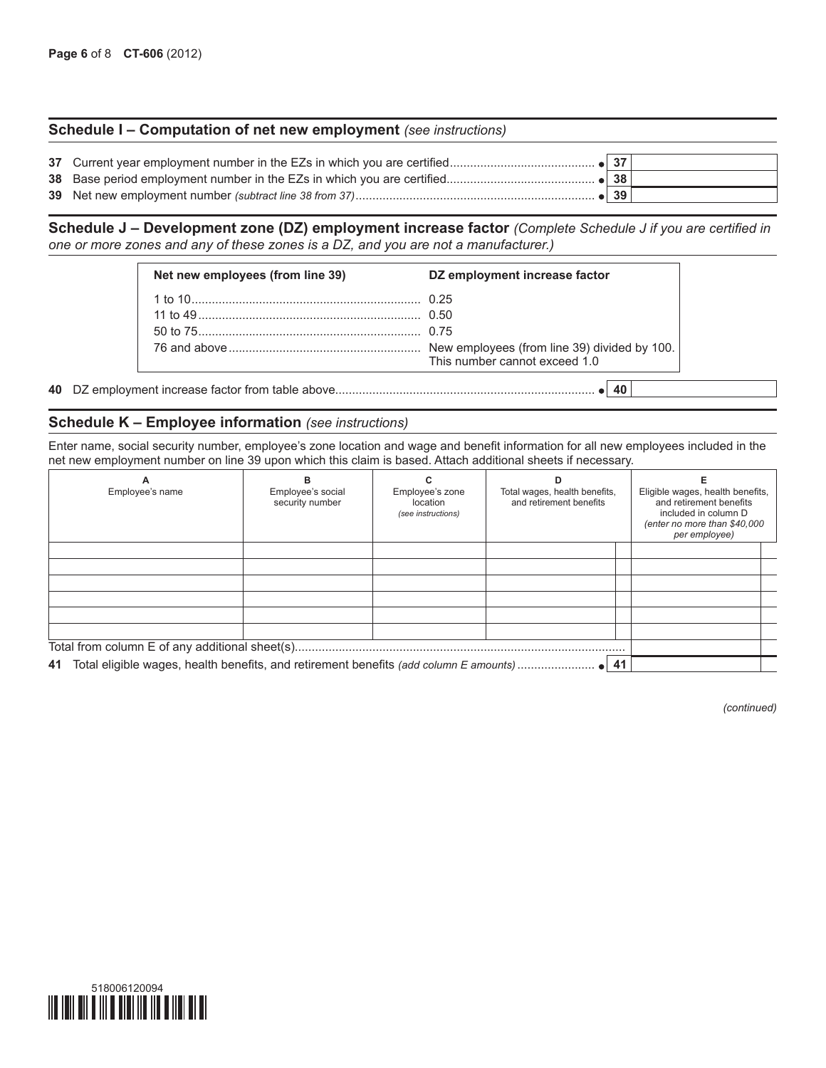#### **Schedule I – Computation of net new employment** *(see instructions)*

|  | 39 |  |
|--|----|--|

**Schedule J – Development zone (DZ) employment increase factor** *(Complete Schedule J if you are certified in one or more zones and any of these zones is a DZ, and you are not a manufacturer.)*

| Net new employees (from line 39) | DZ employment increase factor |
|----------------------------------|-------------------------------|
|                                  |                               |
|                                  |                               |
|                                  |                               |
|                                  | This number cannot exceed 1.0 |

**40** DZ employment increase factor from table above............................................................................. **40**

#### **Schedule K – Employee information** *(see instructions)*

Enter name, social security number, employee's zone location and wage and benefit information for all new employees included in the net new employment number on line 39 upon which this claim is based. Attach additional sheets if necessary.

| Employee's name | Employee's social<br>security number | Employee's zone<br>location<br>(see instructions) | Total wages, health benefits,<br>and retirement benefits | Eligible wages, health benefits,<br>and retirement benefits<br>included in column D<br>(enter no more than \$40,000<br>per employee) |  |  |
|-----------------|--------------------------------------|---------------------------------------------------|----------------------------------------------------------|--------------------------------------------------------------------------------------------------------------------------------------|--|--|
|                 |                                      |                                                   |                                                          |                                                                                                                                      |  |  |
|                 |                                      |                                                   |                                                          |                                                                                                                                      |  |  |
|                 |                                      |                                                   |                                                          |                                                                                                                                      |  |  |
|                 |                                      |                                                   |                                                          |                                                                                                                                      |  |  |
|                 |                                      |                                                   |                                                          |                                                                                                                                      |  |  |
|                 |                                      |                                                   |                                                          |                                                                                                                                      |  |  |
|                 |                                      |                                                   |                                                          |                                                                                                                                      |  |  |
|                 |                                      |                                                   |                                                          |                                                                                                                                      |  |  |

*(continued)*

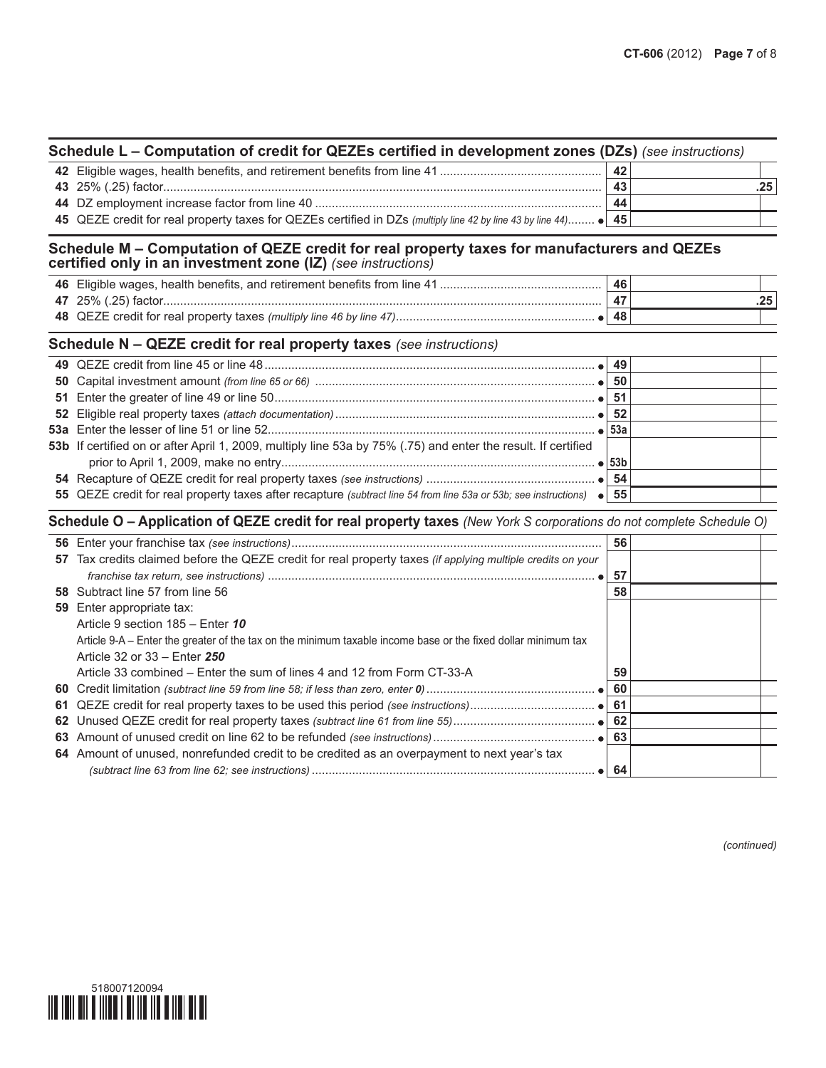| Schedule L – Computation of credit for QEZEs certified in development zones (DZs) (see instructions)            |    |  |  |  |  |
|-----------------------------------------------------------------------------------------------------------------|----|--|--|--|--|
|                                                                                                                 | 42 |  |  |  |  |
|                                                                                                                 | 43 |  |  |  |  |
|                                                                                                                 | 44 |  |  |  |  |
| 45 QEZE credit for real property taxes for QEZEs certified in DZs (multiply line 42 by line 43 by line 44) • 45 |    |  |  |  |  |

#### **Schedule M – Computation of QEZE credit for real property taxes for manufacturers and QEZEs certified only in an investment zone (IZ)** *(see instructions)*

|                     | 46 |  |
|---------------------|----|--|
| 47 25% (.25) factor |    |  |
|                     | 48 |  |

#### **Schedule N – QEZE credit for real property taxes** *(see instructions)*

|                                                                                                                       | -51 |  |
|-----------------------------------------------------------------------------------------------------------------------|-----|--|
|                                                                                                                       |     |  |
|                                                                                                                       |     |  |
| 53b If certified on or after April 1, 2009, multiply line 53a by 75% (.75) and enter the result. If certified         |     |  |
|                                                                                                                       |     |  |
|                                                                                                                       |     |  |
| 55 QEZE credit for real property taxes after recapture (subtract line 54 from line 53a or 53b; see instructions) • 55 |     |  |
|                                                                                                                       |     |  |

#### **Schedule O – Application of QEZE credit for real property taxes** *(New York S corporations do not complete Schedule O)*

|                                                                                                               | 56           |  |
|---------------------------------------------------------------------------------------------------------------|--------------|--|
| 57 Tax credits claimed before the QEZE credit for real property taxes (if applying multiple credits on your   |              |  |
|                                                                                                               | 57           |  |
| <b>58</b> Subtract line 57 from line 56                                                                       | 58           |  |
| 59 Enter appropriate tax:                                                                                     |              |  |
| Article 9 section 185 - Enter 10                                                                              |              |  |
| Article 9-A – Enter the greater of the tax on the minimum taxable income base or the fixed dollar minimum tax |              |  |
| Article 32 or 33 – Enter 250                                                                                  |              |  |
| Article 33 combined – Enter the sum of lines 4 and 12 from Form CT-33-A                                       | 59           |  |
|                                                                                                               | 60           |  |
|                                                                                                               | 61           |  |
|                                                                                                               | 62           |  |
|                                                                                                               | 63           |  |
| 64 Amount of unused, nonrefunded credit to be credited as an overpayment to next year's tax                   |              |  |
|                                                                                                               | $\bullet$ 64 |  |

*(continued)*